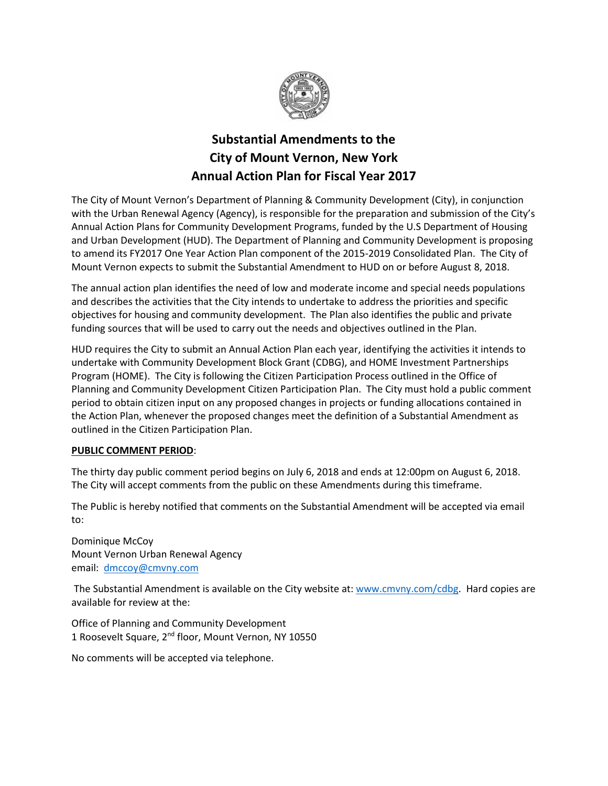

# **Substantial Amendments to the City of Mount Vernon, New York Annual Action Plan for Fiscal Year 2017**

The City of Mount Vernon's Department of Planning & Community Development (City), in conjunction with the Urban Renewal Agency (Agency), is responsible for the preparation and submission of the City's Annual Action Plans for Community Development Programs, funded by the U.S Department of Housing and Urban Development (HUD). The Department of Planning and Community Development is proposing to amend its FY2017 One Year Action Plan component of the 2015-2019 Consolidated Plan. The City of Mount Vernon expects to submit the Substantial Amendment to HUD on or before August 8, 2018.

The annual action plan identifies the need of low and moderate income and special needs populations and describes the activities that the City intends to undertake to address the priorities and specific objectives for housing and community development. The Plan also identifies the public and private funding sources that will be used to carry out the needs and objectives outlined in the Plan.

HUD requires the City to submit an Annual Action Plan each year, identifying the activities it intends to undertake with Community Development Block Grant (CDBG), and HOME Investment Partnerships Program (HOME). The City is following the Citizen Participation Process outlined in the Office of Planning and Community Development Citizen Participation Plan. The City must hold a public comment period to obtain citizen input on any proposed changes in projects or funding allocations contained in the Action Plan, whenever the proposed changes meet the definition of a Substantial Amendment as outlined in the Citizen Participation Plan.

### **PUBLIC COMMENT PERIOD**:

The thirty day public comment period begins on July 6, 2018 and ends at 12:00pm on August 6, 2018. The City will accept comments from the public on these Amendments during this timeframe.

The Public is hereby notified that comments on the Substantial Amendment will be accepted via email to:

Dominique McCoy Mount Vernon Urban Renewal Agency email: [dmccoy@cmvny.com](mailto:dmccoy@cmvny.com)

The Substantial Amendment is available on the City website at: [www.cmvny.com/cdbg.](http://www.cmvny.com/cdbg) Hard copies are available for review at the:

Office of Planning and Community Development 1 Roosevelt Square, 2<sup>nd</sup> floor, Mount Vernon, NY 10550

No comments will be accepted via telephone.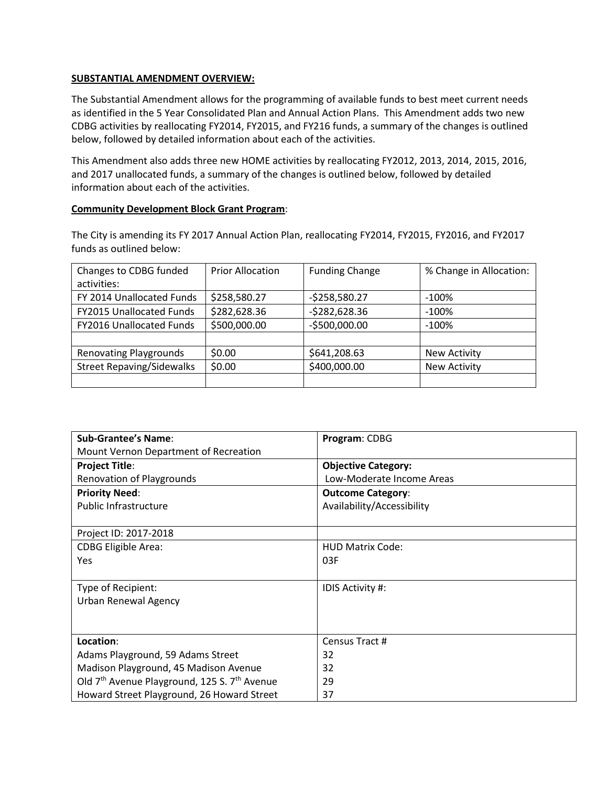#### **SUBSTANTIAL AMENDMENT OVERVIEW:**

The Substantial Amendment allows for the programming of available funds to best meet current needs as identified in the 5 Year Consolidated Plan and Annual Action Plans. This Amendment adds two new CDBG activities by reallocating FY2014, FY2015, and FY216 funds, a summary of the changes is outlined below, followed by detailed information about each of the activities.

This Amendment also adds three new HOME activities by reallocating FY2012, 2013, 2014, 2015, 2016, and 2017 unallocated funds, a summary of the changes is outlined below, followed by detailed information about each of the activities.

#### **Community Development Block Grant Program**:

The City is amending its FY 2017 Annual Action Plan, reallocating FY2014, FY2015, FY2016, and FY2017 funds as outlined below:

| Changes to CDBG funded           | <b>Prior Allocation</b> | <b>Funding Change</b> | % Change in Allocation: |
|----------------------------------|-------------------------|-----------------------|-------------------------|
| activities:                      |                         |                       |                         |
| FY 2014 Unallocated Funds        | \$258,580.27            | $-5258,580.27$        | $-100\%$                |
| <b>FY2015 Unallocated Funds</b>  | \$282,628.36            | $-5282,628.36$        | $-100\%$                |
| FY2016 Unallocated Funds         | \$500,000.00            | $-$500,000.00$        | $-100%$                 |
|                                  |                         |                       |                         |
| <b>Renovating Playgrounds</b>    | \$0.00                  | \$641,208.63          | <b>New Activity</b>     |
| <b>Street Repaving/Sidewalks</b> | \$0.00                  | \$400,000.00          | <b>New Activity</b>     |
|                                  |                         |                       |                         |

| <b>Sub-Grantee's Name:</b>                                           | Program: CDBG              |
|----------------------------------------------------------------------|----------------------------|
| Mount Vernon Department of Recreation                                |                            |
| <b>Project Title:</b>                                                | <b>Objective Category:</b> |
| <b>Renovation of Playgrounds</b>                                     | Low-Moderate Income Areas  |
| <b>Priority Need:</b>                                                | <b>Outcome Category:</b>   |
| <b>Public Infrastructure</b>                                         | Availability/Accessibility |
|                                                                      |                            |
| Project ID: 2017-2018                                                |                            |
| <b>CDBG Eligible Area:</b>                                           | <b>HUD Matrix Code:</b>    |
| Yes                                                                  | 03F                        |
|                                                                      |                            |
| Type of Recipient:                                                   | IDIS Activity #:           |
| Urban Renewal Agency                                                 |                            |
|                                                                      |                            |
|                                                                      |                            |
| Location:                                                            | Census Tract #             |
| Adams Playground, 59 Adams Street                                    | 32                         |
| Madison Playground, 45 Madison Avenue                                | 32                         |
| Old 7 <sup>th</sup> Avenue Playground, 125 S. 7 <sup>th</sup> Avenue | 29                         |
| Howard Street Playground, 26 Howard Street                           | 37                         |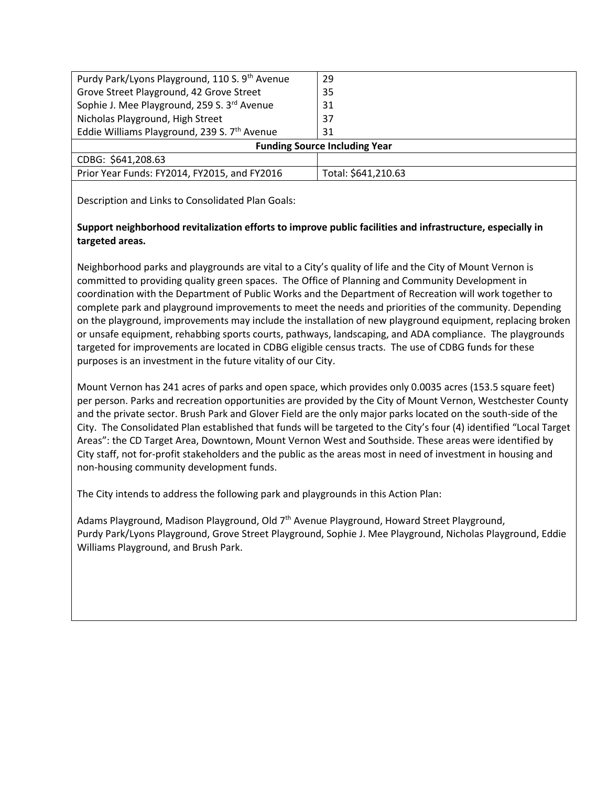| Purdy Park/Lyons Playground, 110 S. 9th Avenue           | 29                  |  |
|----------------------------------------------------------|---------------------|--|
| Grove Street Playground, 42 Grove Street                 | 35                  |  |
| Sophie J. Mee Playground, 259 S. 3rd Avenue              | 31                  |  |
| Nicholas Playground, High Street                         | 37                  |  |
| Eddie Williams Playground, 239 S. 7 <sup>th</sup> Avenue | 31                  |  |
| <b>Funding Source Including Year</b>                     |                     |  |
| CDBG: \$641,208.63                                       |                     |  |
| Prior Year Funds: FY2014, FY2015, and FY2016             | Total: \$641,210.63 |  |
|                                                          |                     |  |

Description and Links to Consolidated Plan Goals:

## **Support neighborhood revitalization efforts to improve public facilities and infrastructure, especially in targeted areas.**

Neighborhood parks and playgrounds are vital to a City's quality of life and the City of Mount Vernon is committed to providing quality green spaces. The Office of Planning and Community Development in coordination with the Department of Public Works and the Department of Recreation will work together to complete park and playground improvements to meet the needs and priorities of the community. Depending on the playground, improvements may include the installation of new playground equipment, replacing broken or unsafe equipment, rehabbing sports courts, pathways, landscaping, and ADA compliance. The playgrounds targeted for improvements are located in CDBG eligible census tracts. The use of CDBG funds for these purposes is an investment in the future vitality of our City.

Mount Vernon has 241 acres of parks and open space, which provides only 0.0035 acres (153.5 square feet) per person. Parks and recreation opportunities are provided by the City of Mount Vernon, Westchester County and the private sector. Brush Park and Glover Field are the only major parks located on the south-side of the City. The Consolidated Plan established that funds will be targeted to the City's four (4) identified "Local Target Areas": the CD Target Area, Downtown, Mount Vernon West and Southside. These areas were identified by City staff, not for-profit stakeholders and the public as the areas most in need of investment in housing and non-housing community development funds.

The City intends to address the following park and playgrounds in this Action Plan:

Adams Playground, Madison Playground, Old 7<sup>th</sup> Avenue Playground, Howard Street Playground, Purdy Park/Lyons Playground, Grove Street Playground, Sophie J. Mee Playground, Nicholas Playground, Eddie Williams Playground, and Brush Park.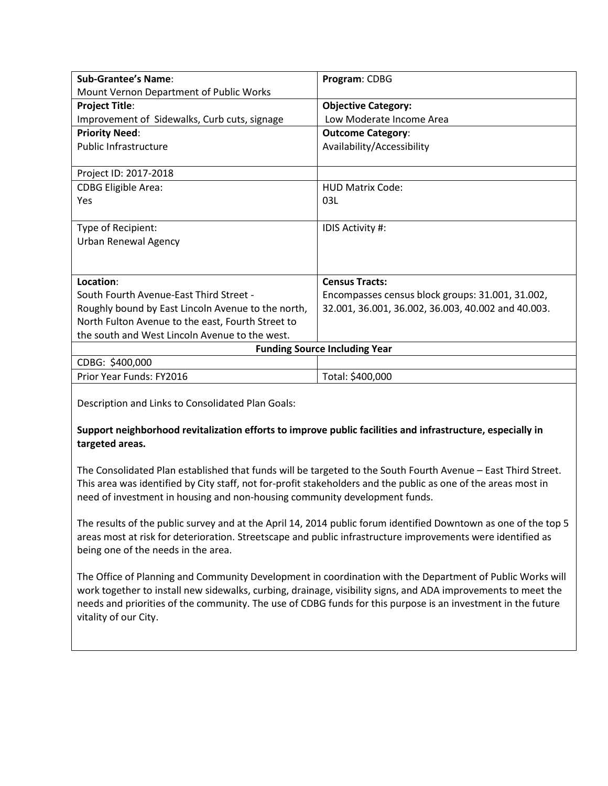| <b>Sub-Grantee's Name:</b>                         | Program: CDBG                                      |  |
|----------------------------------------------------|----------------------------------------------------|--|
| Mount Vernon Department of Public Works            |                                                    |  |
| <b>Project Title:</b>                              | <b>Objective Category:</b>                         |  |
| Improvement of Sidewalks, Curb cuts, signage       | Low Moderate Income Area                           |  |
| <b>Priority Need:</b>                              | <b>Outcome Category:</b>                           |  |
| <b>Public Infrastructure</b>                       | Availability/Accessibility                         |  |
|                                                    |                                                    |  |
| Project ID: 2017-2018                              |                                                    |  |
| <b>CDBG Eligible Area:</b>                         | <b>HUD Matrix Code:</b>                            |  |
| Yes                                                | 03L                                                |  |
|                                                    |                                                    |  |
| Type of Recipient:                                 | IDIS Activity #:                                   |  |
| Urban Renewal Agency                               |                                                    |  |
|                                                    |                                                    |  |
|                                                    |                                                    |  |
| Location:                                          | <b>Census Tracts:</b>                              |  |
| South Fourth Avenue-East Third Street -            | Encompasses census block groups: 31.001, 31.002,   |  |
| Roughly bound by East Lincoln Avenue to the north, | 32.001, 36.001, 36.002, 36.003, 40.002 and 40.003. |  |
| North Fulton Avenue to the east, Fourth Street to  |                                                    |  |
| the south and West Lincoln Avenue to the west.     |                                                    |  |
| <b>Funding Source Including Year</b>               |                                                    |  |
| CDBG: \$400,000                                    |                                                    |  |
| Prior Year Funds: FY2016                           | Total: \$400,000                                   |  |

Description and Links to Consolidated Plan Goals:

## **Support neighborhood revitalization efforts to improve public facilities and infrastructure, especially in targeted areas.**

The Consolidated Plan established that funds will be targeted to the South Fourth Avenue – East Third Street. This area was identified by City staff, not for-profit stakeholders and the public as one of the areas most in need of investment in housing and non-housing community development funds.

The results of the public survey and at the April 14, 2014 public forum identified Downtown as one of the top 5 areas most at risk for deterioration. Streetscape and public infrastructure improvements were identified as being one of the needs in the area.

The Office of Planning and Community Development in coordination with the Department of Public Works will work together to install new sidewalks, curbing, drainage, visibility signs, and ADA improvements to meet the needs and priorities of the community. The use of CDBG funds for this purpose is an investment in the future vitality of our City.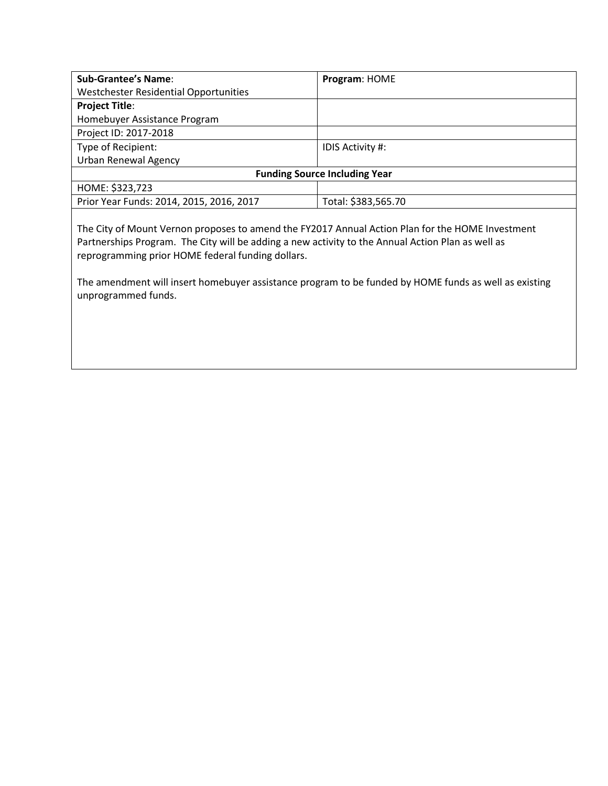| <b>Sub-Grantee's Name:</b>                   | Program: HOME       |  |
|----------------------------------------------|---------------------|--|
| <b>Westchester Residential Opportunities</b> |                     |  |
| <b>Project Title:</b>                        |                     |  |
| Homebuyer Assistance Program                 |                     |  |
| Project ID: 2017-2018                        |                     |  |
| Type of Recipient:                           | IDIS Activity #:    |  |
| <b>Urban Renewal Agency</b>                  |                     |  |
| <b>Funding Source Including Year</b>         |                     |  |
| HOME: \$323,723                              |                     |  |
| Prior Year Funds: 2014, 2015, 2016, 2017     | Total: \$383,565.70 |  |
|                                              |                     |  |

The City of Mount Vernon proposes to amend the FY2017 Annual Action Plan for the HOME Investment Partnerships Program. The City will be adding a new activity to the Annual Action Plan as well as reprogramming prior HOME federal funding dollars.

The amendment will insert homebuyer assistance program to be funded by HOME funds as well as existing unprogrammed funds.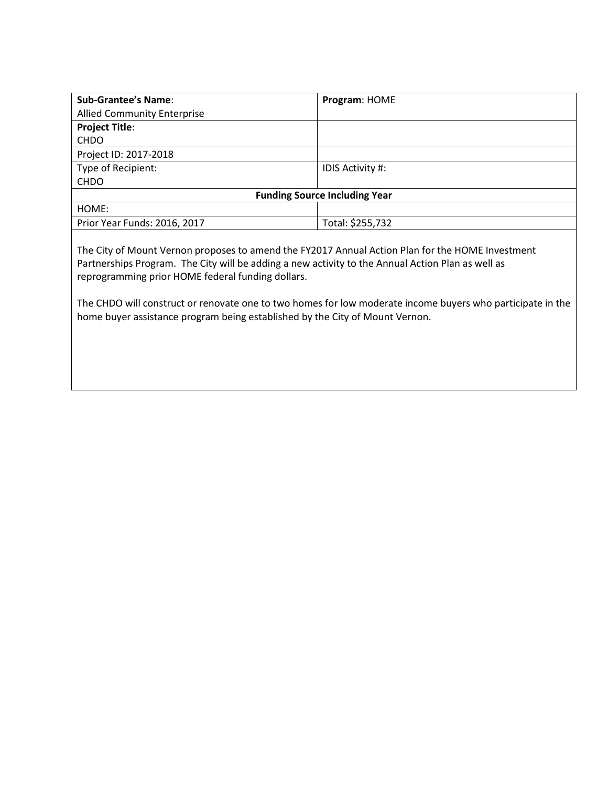| <b>Sub-Grantee's Name:</b>                                                                       | Program: HOME           |  |
|--------------------------------------------------------------------------------------------------|-------------------------|--|
| <b>Allied Community Enterprise</b>                                                               |                         |  |
| <b>Project Title:</b>                                                                            |                         |  |
| <b>CHDO</b>                                                                                      |                         |  |
| Project ID: 2017-2018                                                                            |                         |  |
| Type of Recipient:                                                                               | <b>IDIS Activity #:</b> |  |
| <b>CHDO</b>                                                                                      |                         |  |
| <b>Funding Source Including Year</b>                                                             |                         |  |
| HOME:                                                                                            |                         |  |
| Prior Year Funds: 2016, 2017                                                                     | Total: \$255,732        |  |
|                                                                                                  |                         |  |
| The City of Mount Vernon proposes to amend the EV2017 Annual Action Plan for the HOME Investment |                         |  |

The City of Mount Vernon proposes to amend the FY2017 Annual Action Plan for the HOME Investment Partnerships Program. The City will be adding a new activity to the Annual Action Plan as well as reprogramming prior HOME federal funding dollars.

The CHDO will construct or renovate one to two homes for low moderate income buyers who participate in the home buyer assistance program being established by the City of Mount Vernon.